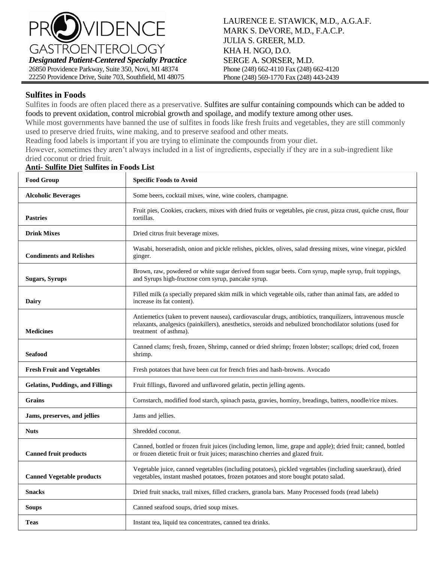

## **Sulfites in Foods**

Sulfites in foods are often placed there as a preservative. Sulfites are sulfur containing compounds which can be added to foods to prevent oxidation, control microbial growth and spoilage, and modify texture among other uses.

While most governments have banned the use of sulfites in foods like fresh fruits and vegetables, they are still commonly used to preserve dried fruits, wine making, and to preserve seafood and other meats.

Reading food labels is important if you are trying to eliminate the compounds from your diet.

However, sometimes they aren't always included in a list of ingredients, especially if they are in a sub-ingredient like dried coconut or dried fruit.

| <b>Food Group</b>                       | <b>Specific Foods to Avoid</b>                                                                                                                                                                                                                      |
|-----------------------------------------|-----------------------------------------------------------------------------------------------------------------------------------------------------------------------------------------------------------------------------------------------------|
| <b>Alcoholic Beverages</b>              | Some beers, cocktail mixes, wine, wine coolers, champagne.                                                                                                                                                                                          |
| <b>Pastries</b>                         | Fruit pies, Cookies, crackers, mixes with dried fruits or vegetables, pie crust, pizza crust, quiche crust, flour<br>tortillas.                                                                                                                     |
| <b>Drink Mixes</b>                      | Dried citrus fruit beverage mixes.                                                                                                                                                                                                                  |
| <b>Condiments and Relishes</b>          | Wasabi, horseradish, onion and pickle relishes, pickles, olives, salad dressing mixes, wine vinegar, pickled<br>ginger.                                                                                                                             |
| <b>Sugars, Syrups</b>                   | Brown, raw, powdered or white sugar derived from sugar beets. Corn syrup, maple syrup, fruit toppings,<br>and Syrups high-fructose corn syrup, pancake syrup.                                                                                       |
| Dairy                                   | Filled milk (a specially prepared skim milk in which vegetable oils, rather than animal fats, are added to<br>increase its fat content).                                                                                                            |
| <b>Medicines</b>                        | Antiemetics (taken to prevent nausea), cardiovascular drugs, antibiotics, tranquilizers, intravenous muscle<br>relaxants, analgesics (painkillers), anesthetics, steroids and nebulized bronchodilator solutions (used for<br>treatment of asthma). |
| <b>Seafood</b>                          | Canned clams; fresh, frozen, Shrimp, canned or dried shrimp; frozen lobster; scallops; dried cod, frozen<br>shrimp.                                                                                                                                 |
| <b>Fresh Fruit and Vegetables</b>       | Fresh potatoes that have been cut for french fries and hash-browns. Avocado                                                                                                                                                                         |
| <b>Gelatins, Puddings, and Fillings</b> | Fruit fillings, flavored and unflavored gelatin, pectin jelling agents.                                                                                                                                                                             |
| <b>Grains</b>                           | Cornstarch, modified food starch, spinach pasta, gravies, hominy, breadings, batters, noodle/rice mixes.                                                                                                                                            |
| Jams, preserves, and jellies            | Jams and jellies.                                                                                                                                                                                                                                   |
| <b>Nuts</b>                             | Shredded coconut.                                                                                                                                                                                                                                   |
| <b>Canned fruit products</b>            | Canned, bottled or frozen fruit juices (including lemon, lime, grape and apple); dried fruit; canned, bottled<br>or frozen dietetic fruit or fruit juices; maraschino cherries and glazed fruit.                                                    |
| <b>Canned Vegetable products</b>        | Vegetable juice, canned vegetables (including potatoes), pickled vegetables (including sauerkraut), dried<br>vegetables, instant mashed potatoes, frozen potatoes and store bought potato salad.                                                    |
| <b>Snacks</b>                           | Dried fruit snacks, trail mixes, filled crackers, granola bars. Many Processed foods (read labels)                                                                                                                                                  |
| Soups                                   | Canned seafood soups, dried soup mixes.                                                                                                                                                                                                             |
| <b>Teas</b>                             | Instant tea, liquid tea concentrates, canned tea drinks.                                                                                                                                                                                            |

## **Anti- Sulfite Diet Sulfites in Foods List**